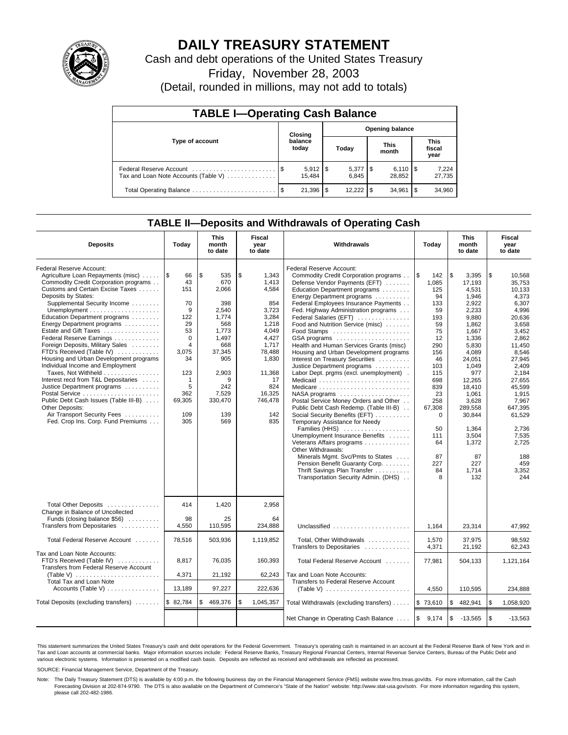

# **DAILY TREASURY STATEMENT**

Cash and debt operations of the United States Treasury

Friday, November 28, 2003

(Detail, rounded in millions, may not add to totals)

| <b>TABLE I-Operating Cash Balance</b>                           |                             |                        |                        |                                |  |                              |      |                               |  |  |
|-----------------------------------------------------------------|-----------------------------|------------------------|------------------------|--------------------------------|--|------------------------------|------|-------------------------------|--|--|
|                                                                 | Closing<br>balance<br>today |                        | <b>Opening balance</b> |                                |  |                              |      |                               |  |  |
| Type of account                                                 |                             |                        |                        | Today                          |  | <b>This</b><br>month         |      | <b>This</b><br>fiscal<br>year |  |  |
| Federal Reserve Account<br>Tax and Loan Note Accounts (Table V) |                             | $5,912$   \$<br>15.484 |                        | $5,377$ $\frac{1}{3}$<br>6.845 |  | $6,110$ $\sqrt{5}$<br>28.852 |      | 7,224<br>27,735               |  |  |
| Total Operating Balance                                         | - \$                        | 21.396                 | \$                     |                                |  | 34.961                       | l \$ | 34,960                        |  |  |

### **TABLE II—Deposits and Withdrawals of Operating Cash**

| <b>Deposits</b>                                              | Today        | <b>This</b><br>month<br>to date | Fiscal<br>year<br>to date | Withdrawals                                                  | Today               | <b>This</b><br>month<br>to date | Fiscal<br>year<br>to date |
|--------------------------------------------------------------|--------------|---------------------------------|---------------------------|--------------------------------------------------------------|---------------------|---------------------------------|---------------------------|
| Federal Reserve Account:                                     |              |                                 |                           | Federal Reserve Account:                                     |                     |                                 |                           |
| Agriculture Loan Repayments (misc)    \$                     | 66           | \$<br>535                       | \$<br>1,343               | Commodity Credit Corporation programs                        | l \$<br>142         | l\$<br>3,395                    | \$<br>10,568              |
| Commodity Credit Corporation programs                        | 43           | 670                             | 1,413                     | Defense Vendor Payments (EFT)                                | 1.085               | 17,193                          | 35.753                    |
| Customs and Certain Excise Taxes                             | 151          | 2.066                           | 4,584                     | Education Department programs                                | 125                 | 4,531                           | 10.133                    |
| Deposits by States:                                          |              |                                 |                           | Energy Department programs                                   | 94                  | 1,946                           | 4,373                     |
| Supplemental Security Income                                 | 70           | 398                             | 854                       | Federal Employees Insurance Payments                         | 133                 | 2.922                           | 6,307                     |
|                                                              | 9            | 2,540                           | 3,723                     | Fed. Highway Administration programs                         | 59                  | 2,233                           | 4,996                     |
| Education Department programs                                | 122          | 1,774                           | 3,284                     | Federal Salaries (EFT)                                       | 193                 | 9,880                           | 20,636                    |
| Energy Department programs                                   | 29           | 568                             | 1,218                     | Food and Nutrition Service (misc)                            | 59                  | 1,862                           | 3,658                     |
| Estate and Gift Taxes                                        | 53           | 1.773                           | 4.049                     | Food Stamps                                                  | 75                  | 1.667                           | 3.452                     |
| Federal Reserve Earnings                                     | $\Omega$     | 1,497                           | 4,427                     | GSA programs                                                 | 12                  | 1,336                           | 2.862                     |
| Foreign Deposits, Military Sales                             | 4            | 668                             | 1,717                     | Health and Human Services Grants (misc)                      | 290                 | 5,830                           | 11,450                    |
| FTD's Received (Table IV)                                    | 3,075        | 37,345                          | 78,488                    | Housing and Urban Development programs                       | 156                 | 4.089                           | 8.546                     |
| Housing and Urban Development programs                       | 34           | 905                             | 1,830                     | Interest on Treasury Securities                              | 46                  | 24,051                          | 27,945                    |
| Individual Income and Employment                             |              |                                 |                           | Justice Department programs                                  | 103                 | 1,049                           | 2,409                     |
| Taxes, Not Withheld                                          | 123          | 2,903                           | 11,368                    | Labor Dept. prgms (excl. unemployment).                      | 115                 | 977                             | 2,184                     |
| Interest recd from T&L Depositaries                          | $\mathbf{1}$ | 9                               | 17                        | Medicaid                                                     | 698                 | 12.265                          | 27.655                    |
| Justice Department programs                                  | 5            | 242                             | 824                       | Medicare                                                     | 839                 | 18,410                          | 45,599                    |
|                                                              | 362          | 7,529                           | 16,325                    | $NASA$ programs $\ldots \ldots \ldots \ldots \ldots$         | 23                  | 1,061                           | 1,915                     |
| Public Debt Cash Issues (Table III-B)                        | 69,305       | 330,470                         | 746,478                   | Postal Service Money Orders and Other                        | 258                 | 3,628                           | 7.967                     |
| Other Deposits:                                              |              |                                 |                           | Public Debt Cash Redemp. (Table III-B)                       | 67,308              | 289,558                         | 647,395                   |
| Air Transport Security Fees                                  | 109          | 139                             | 142                       | Social Security Benefits (EFT)                               | $\Omega$            | 30,844                          | 61,529                    |
| Fed. Crop Ins. Corp. Fund Premiums                           | 305          | 569                             | 835                       | Temporary Assistance for Needy                               |                     |                                 |                           |
|                                                              |              |                                 |                           | Families (HHS)                                               | 50                  | 1.364                           | 2.736                     |
|                                                              |              |                                 |                           | Unemployment Insurance Benefits                              | 111                 | 3,504                           | 7,535                     |
|                                                              |              |                                 |                           | Veterans Affairs programs                                    | 64                  | 1,372                           | 2,725                     |
|                                                              |              |                                 |                           | Other Withdrawals:                                           |                     |                                 |                           |
|                                                              |              |                                 |                           | Minerals Mgmt. Svc/Pmts to States                            | 87                  | 87                              | 188                       |
|                                                              |              |                                 |                           | Pension Benefit Guaranty Corp.                               | 227                 | 227                             | 459                       |
|                                                              |              |                                 |                           | Thrift Savings Plan Transfer                                 | 84                  | 1,714                           | 3,352                     |
|                                                              |              |                                 |                           | Transportation Security Admin. (DHS)                         | 8                   | 132                             | 244                       |
|                                                              |              |                                 |                           |                                                              |                     |                                 |                           |
| Total Other Deposits<br>Change in Balance of Uncollected     | 414          | 1,420                           | 2,958                     |                                                              |                     |                                 |                           |
| Funds (closing balance \$56)                                 | 98           | 25                              | 64                        |                                                              |                     |                                 |                           |
| Transfers from Depositaries                                  | 4.550        | 110,595                         | 234.888                   | Unclassified                                                 | 1.164               | 23.314                          | 47,992                    |
|                                                              |              |                                 |                           |                                                              |                     |                                 |                           |
| Total Federal Reserve Account                                | 78,516       | 503,936                         | 1,119,852                 | Total, Other Withdrawals                                     | 1,570               | 37,975                          | 98,592                    |
|                                                              |              |                                 |                           | Transfers to Depositaries                                    | 4,371               | 21,192                          | 62.243                    |
| Tax and Loan Note Accounts:                                  |              |                                 |                           |                                                              |                     |                                 |                           |
| FTD's Received (Table IV)                                    | 8,817        | 76,035                          | 160,393                   | Total Federal Reserve Account                                | 77,981              | 504,133                         | 1,121,164                 |
| Transfers from Federal Reserve Account                       |              |                                 |                           |                                                              |                     |                                 |                           |
| (Table V) $\ldots \ldots \ldots \ldots \ldots \ldots \ldots$ | 4,371        | 21,192                          | 62,243                    | Tax and Loan Note Accounts:                                  |                     |                                 |                           |
| <b>Total Tax and Loan Note</b>                               |              |                                 |                           | Transfers to Federal Reserve Account                         |                     |                                 |                           |
| Accounts (Table V)                                           | 13,189       | 97,227                          | 222,636                   | (Table V) $\ldots \ldots \ldots \ldots \ldots \ldots \ldots$ | 4,550               | 110,595                         | 234,888                   |
| Total Deposits (excluding transfers)                         | \$82,784     | \$<br>469,376                   | \$<br>1,045,357           | Total Withdrawals (excluding transfers)                      | \$73,610            | \$<br>482,941                   | \$<br>1,058,920           |
|                                                              |              |                                 |                           | Net Change in Operating Cash Balance                         | $\sqrt{3}$<br>9,174 | $\sqrt{3}$<br>$-13,565$         | \$<br>$-13,563$           |

This statement summarizes the United States Treasury's cash and debt operations for the Federal Government. Treasury's operating cash is maintained in an account at the Federal Reserve Bank of New York and in Tax and Loan accounts at commercial banks. Major information sources include: Federal Reserve Banks, Treasury Regional Financial Centers, Internal Revenue Service Centers, Bureau of the Public Debt and<br>various electronic s

SOURCE: Financial Management Service, Department of the Treasury.

Note: The Daily Treasury Statement (DTS) is available by 4:00 p.m. the following business day on the Financial Management Service (FMS) website www.fms.treas.gov/dts. For more information, call the Cash Forecasting Division at 202-874-9790. The DTS is also available on the Department of Commerce's "State of the Nation" website: http://www.stat-usa.gov/sotn. For more information regarding this system, please call 202-482-1986.